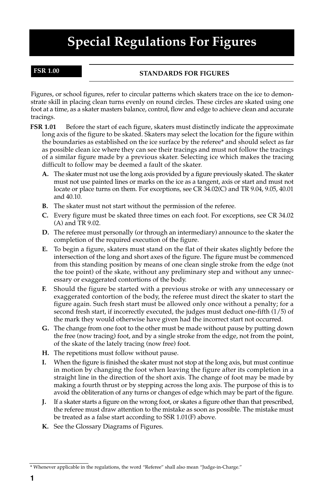# **Special Regulations For Figures**

### **FSR 1.00**

### **STANDARDS FOR FIGURES**

Figures, or school figures, refer to circular patterns which skaters trace on the ice to demonstrate skill in placing clean turns evenly on round circles. These circles are skated using one foot at a time, as a skater masters balance, control, flow and edge to achieve clean and accurate tracings.

- **FSR 1.01** Before the start of each figure, skaters must distinctly indicate the approximate long axis of the figure to be skated. Skaters may select the location for the figure within the boundaries as established on the ice surface by the referee\* and should select as far as possible clean ice where they can see their tracings and must not follow the tracings of a similar figure made by a previous skater. Selecting ice which makes the tracing difficult to follow may be deemed a fault of the skater.
	- **A.** The skater must not use the long axis provided by a figure previously skated. The skater must not use painted lines or marks on the ice as a tangent, axis or start and must not locate or place turns on them. For exceptions, see CR 34.02(C) and TR 9.04, 9.05, 40.01 and 40.10.
	- **B.** The skater must not start without the permission of the referee.
	- **C.** Every figure must be skated three times on each foot. For exceptions, see CR 34.02 (A) and TR 9.02.
	- **D.** The referee must personally (or through an intermediary) announce to the skater the completion of the required execution of the figure.
	- **E.** To begin a figure, skaters must stand on the flat of their skates slightly before the intersection of the long and short axes of the figure. The figure must be commenced from this standing position by means of one clean single stroke from the edge (not the toe point) of the skate, without any preliminary step and without any unnecessary or exaggerated contortions of the body.
	- **F.** Should the figure be started with a previous stroke or with any unnecessary or exaggerated contortion of the body, the referee must direct the skater to start the figure again. Such fresh start must be allowed only once without a penalty; for a second fresh start, if incorrectly executed, the judges must deduct one-fifth (1/5) of the mark they would otherwise have given had the incorrect start not occurred.
	- **G.** The change from one foot to the other must be made without pause by putting down the free (now tracing) foot, and by a single stroke from the edge, not from the point, of the skate of the lately tracing (now free) foot.
	- **H.** The repetitions must follow without pause.
	- **I.** When the figure is finished the skater must not stop at the long axis, but must continue in motion by changing the foot when leaving the figure after its completion in a straight line in the direction of the short axis. The change of foot may be made by making a fourth thrust or by stepping across the long axis. The purpose of this is to avoid the obliteration of any turns or changes of edge which may be part of the figure.
	- **J.** If a skater starts a figure on the wrong foot, or skates a figure other than that prescribed, the referee must draw attention to the mistake as soon as possible. The mistake must be treated as a false start according to SSR 1.01(F) above.
	- **K.** See the Glossary Diagrams of Figures.

<sup>\*</sup> Whenever applicable in the regulations, the word "Referee" shall also mean "Judge-in-Charge."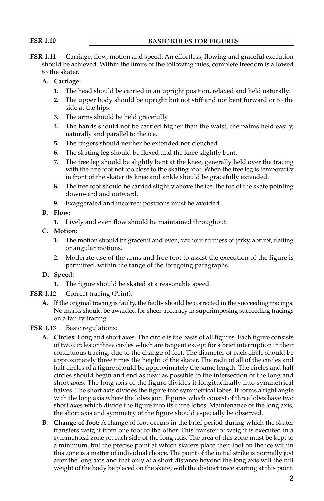### **FSR 1.10 BASIC RULES FOR FIGURES**

**FSR 1.11** Carriage, flow, motion and speed: An effortless, flowing and graceful execution should be achieved. Within the limits of the following rules, complete freedom is allowed to the skater.

### **A. Carriage:**

- **1.** The head should be carried in an upright position, relaxed and held naturally.
- **2.** The upper body should be upright but not stiff and not bent forward or to the side at the hips.
- **3.** The arms should be held gracefully.
- **4.** The hands should not be carried higher than the waist, the palms held easily, naturally and parallel to the ice.
- **5.** The fingers should neither be extended nor clenched.
- **6.** The skating leg should be flexed and the knee slightly bent.
- **7.** The free leg should be slightly bent at the knee, generally held over the tracing with the free foot not too close to the skating foot. When the free leg is temporarily in front of the skater its knee and ankle should be gracefully extended.
- **8.** The free foot should be carried slightly above the ice, the toe of the skate pointing downward and outward.
- **9.** Exaggerated and incorrect positions must be avoided.
- **B. Flow:**
	- **1.** Lively and even flow should be maintained throughout.
- **C. Motion:**
	- **1.** The motion should be graceful and even, without stiffness or jerky, abrupt, flailing or angular motions.
	- **2.** Moderate use of the arms and free foot to assist the execution of the figure is permitted, within the range of the foregoing paragraphs.

#### **D. Speed:**

- **1.** The figure should be skated at a reasonable speed.
- **FSR 1.12** Correct tracing (Print):
	- **A.** If the original tracing is faulty, the faults should be corrected in the succeeding tracings. No marks should be awarded for sheer accuracy in superimposing succeeding tracings on a faulty tracing.
- **FSR 1.13** Basic regulations:
	- **A. Circles:** Long and short axes. The circle is the basis of all figures. Each figure consists of two circles or three circles which are tangent except for a brief interruption in their continuous tracing, due to the change of feet. The diameter of each circle should be approximately three times the height of the skater. The radii of all of the circles and half circles of a figure should be approximately the same length. The circles and half circles should begin and end as near as possible to the intersection of the long and short axes. The long axis of the figure divides it longitudinally into symmetrical halves. The short axis divides the figure into symmetrical lobes. It forms a right angle with the long axis where the lobes join. Figures which consist of three lobes have two short axes which divide the figure into its three lobes. Maintenance of the long axis, the short axis and symmetry of the figure should especially be observed.
	- **B. Change of foot:** A change of foot occurs in the brief period during which the skater transfers weight from one foot to the other. This transfer of weight is executed in a symmetrical zone on each side of the long axis. The area of this zone must be kept to a minimum, but the precise point at which skaters place their foot on the ice within this zone is a matter of individual choice. The point of the initial strike is normally just after the long axis and that only at a short distance beyond the long axis will the full weight of the body be placed on the skate, with the distinct trace starting at this point.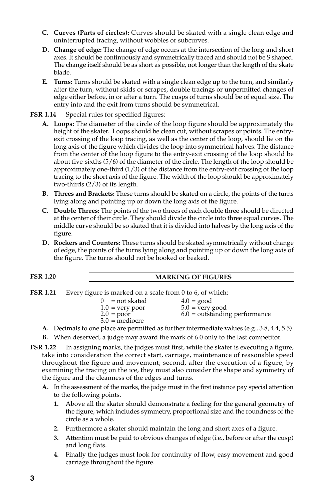- **C. Curves (Parts of circles):** Curves should be skated with a single clean edge and uninterrupted tracing, without wobbles or subcurves.
- **D. Change of edge:** The change of edge occurs at the intersection of the long and short axes. It should be continuously and symmetrically traced and should not be S shaped. The change itself should be as short as possible, not longer than the length of the skate blade.
- **E. Turns:** Turns should be skated with a single clean edge up to the turn, and similarly after the turn, without skids or scrapes, double tracings or unpermitted changes of edge either before, in or after a turn. The cusps of turns should be of equal size. The entry into and the exit from turns should be symmetrical.

**FSR 1.14** Special rules for specified figures:

- **A. Loops:** The diameter of the circle of the loop figure should be approximately the height of the skater. Loops should be clean cut, without scrapes or points. The entryexit crossing of the loop tracing, as well as the center of the loop, should lie on the long axis of the figure which divides the loop into symmetrical halves. The distance from the center of the loop figure to the entry-exit crossing of the loop should be about five-sixths (5/6) of the diameter of the circle. The length of the loop should be approximately one-third (1/3) of the distance from the entry-exit crossing of the loop tracing to the short axis of the figure. The width of the loop should be approximately two-thirds (2/3) of its length.
- **B. Threes and Brackets:** These turns should be skated on a circle, the points of the turns lying along and pointing up or down the long axis of the figure.
- **C. Double Threes:** The points of the two threes of each double three should be directed at the center of their circle. They should divide the circle into three equal curves. The middle curve should be so skated that it is divided into halves by the long axis of the figure.
- **D. Rockers and Counters:** These turns should be skated symmetrically without change of edge, the points of the turns lying along and pointing up or down the long axis of the figure. The turns should not be hooked or beaked.

# **FSR 1.20 MARKING OF FIGURES**

**FSR 1.21** Every figure is marked on a scale from 0 to 6, of which:

| $0 = not skated$<br>$1.0$ = very poor<br>$2.0 = poor$<br>$3.0$ = mediocre | $4.0 = \text{good}$<br>$5.0$ = very good<br>$6.0$ = outstanding performance |
|---------------------------------------------------------------------------|-----------------------------------------------------------------------------|
|                                                                           |                                                                             |

- **A.** Decimals to one place are permitted as further intermediate values (e.g., 3.8, 4.4, 5.5).
- **B.** When deserved, a judge may award the mark of 6.0 only to the last competitor.

**FSR 1.22** In assigning marks, the judges must first, while the skater is executing a figure, take into consideration the correct start, carriage, maintenance of reasonable speed throughout the figure and movement; second, after the execution of a figure, by examining the tracing on the ice, they must also consider the shape and symmetry of the figure and the cleanness of the edges and turns.

- **A.** In the assessment of the marks, the judge must in the first instance pay special attention to the following points.
	- **1.** Above all the skater should demonstrate a feeling for the general geometry of the figure, which includes symmetry, proportional size and the roundness of the circle as a whole.
	- **2.** Furthermore a skater should maintain the long and short axes of a figure.
	- **3.** Attention must be paid to obvious changes of edge (i.e., before or after the cusp) and long flats.
	- **4.** Finally the judges must look for continuity of flow, easy movement and good carriage throughout the figure.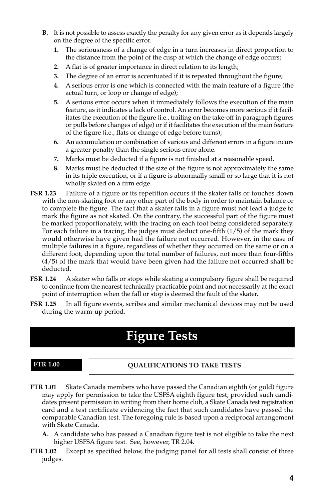- **B.** It is not possible to assess exactly the penalty for any given error as it depends largely on the degree of the specific error.
	- **1.** The seriousness of a change of edge in a turn increases in direct proportion to the distance from the point of the cusp at which the change of edge occurs;
	- **2.** A flat is of greater importance in direct relation to its length;
	- **3.** The degree of an error is accentuated if it is repeated throughout the figure;
	- **4.** A serious error is one which is connected with the main feature of a figure (the actual turn, or loop or change of edge);
	- **5.** A serious error occurs when it immediately follows the execution of the main feature, as it indicates a lack of control. An error becomes more serious if it facilitates the execution of the figure (i.e., trailing on the take-off in paragraph figures or pulls before changes of edge) or if it facilitates the execution of the main feature of the figure (i.e., flats or change of edge before turns);
	- **6.** An accumulation or combination of various and different errors in a figure incurs a greater penalty than the single serious error alone.
	- **7.** Marks must be deducted if a figure is not finished at a reasonable speed.
	- **8.** Marks must be deducted if the size of the figure is not approximately the same in its triple execution, or if a figure is abnormally small or so large that it is not wholly skated on a firm edge.
- **FSR 1.23** Failure of a figure or its repetition occurs if the skater falls or touches down with the non-skating foot or any other part of the body in order to maintain balance or to complete the figure. The fact that a skater falls in a figure must not lead a judge to mark the figure as not skated. On the contrary, the successful part of the figure must be marked proportionately, with the tracing on each foot being considered separately. For each failure in a tracing, the judges must deduct one-fifth (1/5) of the mark they would otherwise have given had the failure not occurred. However, in the case of multiple failures in a figure, regardless of whether they occurred on the same or on a different foot, depending upon the total number of failures, not more than four-fifths (4/5) of the mark that would have been given had the failure not occurred shall be deducted.
- **FSR 1.24** A skater who falls or stops while skating a compulsory figure shall be required to continue from the nearest technically practicable point and not necessarily at the exact point of interruption when the fall or stop is deemed the fault of the skater.
- **FSR 1.25** In all figure events, scribes and similar mechanical devices may not be used during the warm-up period.

# **Figure Tests**

#### **FTR 1.00**

### **QUALIFICATIONS TO TAKE TESTS**

- **FTR 1.01** Skate Canada members who have passed the Canadian eighth (or gold) figure may apply for permission to take the USFSA eighth figure test, provided such candidates present permission in writing from their home club, a Skate Canada test registration card and a test certificate evidencing the fact that such candidates have passed the comparable Canadian test. The foregoing rule is based upon a reciprocal arrangement with Skate Canada.
	- **A.** A candidate who has passed a Canadian figure test is not eligible to take the next higher USFSA figure test. See, however, TR 2.04.
- **FTR 1.02** Except as specified below, the judging panel for all tests shall consist of three judges.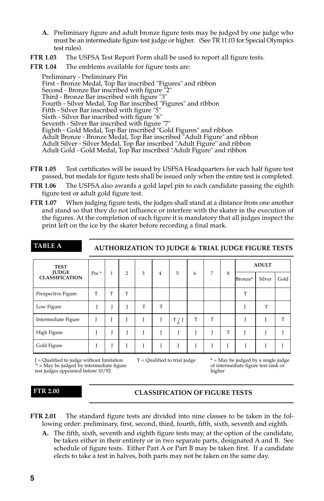- **A.** Preliminary figure and adult bronze figure tests may be judged by one judge who must be an intermediate figure test judge or higher. (See TR 11.03 for Special Olympics test rules).
- **FTR 1.03** The USFSA Test Report Form shall be used to report all figure tests.

**FTR 1.04** The emblems available for figure tests are:

Preliminary - Preliminary Pin First - Bronze Medal, Top Bar inscribed "Figures" and ribbon Second - Bronze Bar inscribed with figure "2" Third - Bronze Bar inscribed with figure "3" Fourth - Silver Medal, Top Bar inscribed "Figures" and ribbon Fifth - Silver Bar inscribed with figure "5" Sixth - Silver Bar inscribed with figure "6" Seventh - Silver Bar inscribed with figure "7" Eighth - Gold Medal, Top Bar inscribed "Gold Figures" and ribbon Adult Bronze - Bronze Medal, Top Bar inscribed "Adult Figure" and ribbon Adult Silver - Silver Medal, Top Bar inscribed "Adult Figure" and ribbon Adult Gold - Gold Medal, Top Bar inscribed "Adult Figure" and ribbon

- **FTR 1.05** Test certificates will be issued by USFSA Headquarters for each half figure test passed, but medals for figure tests shall be issued only when the entire test is completed.
- **FTR 1.06** The USFSA also awards a gold lapel pin to each candidate passing the eighth figure test or adult gold figure test.
- **FTR 1.07** When judging figure tests, the judges shall stand at a distance from one another and stand so that they do not influence or interfere with the skater in the execution of the figures. At the completion of each figure it is mandatory that all judges inspect the print left on the ice by the skater before recording a final mark.

| <b>TABLE A</b>                        |                  |   |                |   |   |       |   |   |   | <b>AUTHORIZATION TO JUDGE &amp; TRIAL JUDGE FIGURE TESTS</b> |              |      |
|---------------------------------------|------------------|---|----------------|---|---|-------|---|---|---|--------------------------------------------------------------|--------------|------|
| <b>TEST</b>                           |                  |   |                |   |   |       |   |   |   |                                                              | <b>ADULT</b> |      |
| <b>JUDGE</b><br><b>CLASSIFICATION</b> | Pre <sup>*</sup> | 1 | $\overline{2}$ | 3 | 4 | 5     | 6 | 7 | 8 | Bronze*                                                      | Silver       | Gold |
| Prospective Figure                    | T                | T | T              |   |   |       |   |   |   | т                                                            |              |      |
| Low Figure                            |                  |   |                | т | T |       |   |   |   |                                                              | т            |      |
| Intermediate Figure                   |                  |   |                |   |   | T / J | т | T |   |                                                              |              | T    |
| High Figure                           |                  |   |                |   |   |       |   |   | T |                                                              |              |      |
| Gold Figure                           |                  |   |                |   |   |       |   |   |   |                                                              |              |      |

J = Qualified to judge without limitation  $T =$  Qualified to trial judge  $A =$  May be judged by a single judge  $A =$  May be judged by intermediate figure test rank or  $\hat{A}$  = May be judged by intermediate figure  $\hat{A}$  of intermediate figure test judges appointed before 10/92 test judges appointed before 10/92

#### **FTR 2.00**

#### **CLASSIFICATION OF FIGURE TESTS**

**FTR 2.01** The standard figure tests are divided into nine classes to be taken in the following order: preliminary, first, second, third, fourth, fifth, sixth, seventh and eighth.

**A.** The fifth, sixth, seventh and eighth figure tests may, at the option of the candidate, be taken either in their entirety or in two separate parts, designated A and B. See schedule of figure tests. Either Part A or Part B may be taken first. If a candidate elects to take a test in halves, both parts may not be taken on the same day.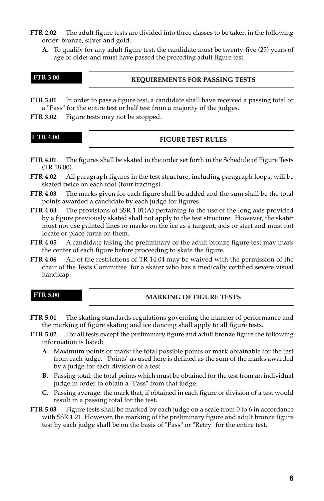- **FTR 2.02** The adult figure tests are divided into three classes to be taken in the following order: bronze, silver and gold.
	- **A.** To qualify for any adult figure test, the candidate must be twenty-five (25) years of age or older and must have passed the preceding adult figure test.

|  | и | π |  |
|--|---|---|--|
|  |   |   |  |

#### **REQUIREMENTS FOR PASSING TESTS**

**FTR 3.01** In order to pass a figure test, a candidate shall have received a passing total or a "Pass" for the entire test or half test from a majority of the judges.

**FTR 3.02** Figure tests may not be stopped.

| I | 4.00 | ï |
|---|------|---|
|   |      |   |

#### **FIGURE TEST RULES**

- **FTR 4.01** The figures shall be skated in the order set forth in the Schedule of Figure Tests (TR 18.00).
- **FTR 4.02** All paragraph figures in the test structure, including paragraph loops, will be skated twice on each foot (four tracings).
- **FTR 4.03** The marks given for each figure shall be added and the sum shall be the total points awarded a candidate by each judge for figures.
- **FTR 4.04** The provisions of SSR 1.01(A) pertaining to the use of the long axis provided by a figure previously skated shall not apply to the test structure. However, the skater must not use painted lines or marks on the ice as a tangent, axis or start and must not locate or place turns on them.
- **FTR 4.05** A candidate taking the preliminary or the adult bronze figure test may mark the center of each figure before proceeding to skate the figure.
- **FTR 4.06** All of the restrictions of TR 14.04 may be waived with the permission of the chair of the Tests Committee for a skater who has a medically certified severe visual handicap.

**FTR 5.00**

#### **MARKING OF FIGURE TESTS**

- **FTR 5.01** The skating standards regulations governing the manner of performance and the marking of figure skating and ice dancing shall apply to all figure tests.
- **FTR 5.02** For all tests except the preliminary figure and adult bronze figure the following information is listed:
	- **A.** Maximum points or mark: the total possible points or mark obtainable for the test from each judge. "Points" as used here is defined as the sum of the marks awarded by a judge for each division of a test.
	- **B.** Passing total: the total points which must be obtained for the test from an individual judge in order to obtain a "Pass" from that judge.
	- **C.** Passing average: the mark that, if obtained in each figure or division of a test would result in a passing total for the test.
- **FTR 5.03** Figure tests shall be marked by each judge on a scale from 0 to 6 in accordance with SSR 1.21. However, the marking of the preliminary figure and adult bronze figure test by each judge shall be on the basis of "Pass" or "Retry" for the entire test.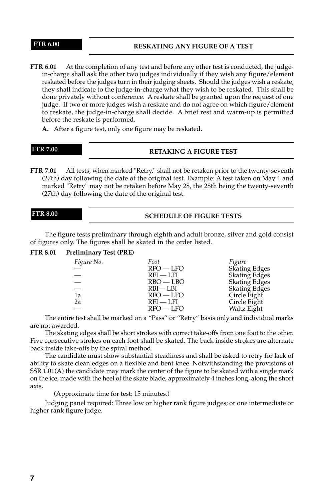#### **RESKATING ANY FIGURE OF A TEST**

- **FTR 6.01** At the completion of any test and before any other test is conducted, the judgein-charge shall ask the other two judges individually if they wish any figure/element reskated before the judges turn in their judging sheets. Should the judges wish a reskate, they shall indicate to the judge-in-charge what they wish to be reskated. This shall be done privately without conference. A reskate shall be granted upon the request of one judge. If two or more judges wish a reskate and do not agree on which figure/element to reskate, the judge-in-charge shall decide. A brief rest and warm-up is permitted before the reskate is performed.
	- **A.** After a figure test, only one figure may be reskated.

**FTR 7.00**

#### **RETAKING A FIGURE TEST**

**FTR 7.01** All tests, when marked "Retry," shall not be retaken prior to the twenty-seventh (27th) day following the date of the original test. Example: A test taken on May 1 and marked "Retry" may not be retaken before May 28, the 28th being the twenty-seventh (27th) day following the date of the original test.

#### **FTR 8.00**

#### **SCHEDULE OF FIGURE TESTS**

The figure tests preliminary through eighth and adult bronze, silver and gold consist of figures only. The figures shall be skated in the order listed.

#### **FTR 8.01 Preliminary Test (PRE)**

| Figure No. | Foot        | Figure        |
|------------|-------------|---------------|
|            | $RFO - LFO$ | Skating Edges |
|            | $RFI - LFI$ | Skating Edges |
| $\equiv$   | $RBO - LBO$ | Skating Edges |
|            | RBI—LBI     | Skating Edges |
| 1a         | $RFO - LFO$ | Circle Eight  |
| 2a         | $RFI - LFI$ | Circle Eight  |
|            | $RFO - LFO$ | Waltz Eight   |

The entire test shall be marked on a "Pass" or "Retry" basis only and individual marks are not awarded.

The skating edges shall be short strokes with correct take-offs from one foot to the other. Five consecutive strokes on each foot shall be skated. The back inside strokes are alternate back inside take-offs by the spiral method.

The candidate must show substantial steadiness and shall be asked to retry for lack of ability to skate clean edges on a flexible and bent knee. Notwithstanding the provisions of SSR 1.01(A) the candidate may mark the center of the figure to be skated with a single mark on the ice, made with the heel of the skate blade, approximately 4 inches long, along the short axis.

(Approximate time for test: 15 minutes.)

Judging panel required: Three low or higher rank figure judges; or one intermediate or higher rank figure judge.

#### **FTR 6.00**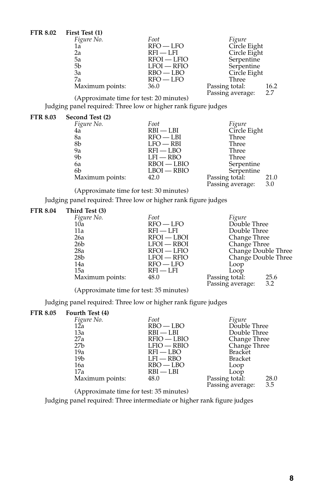| <b>FTR 8.02</b> | First Test (1)  |               |                                  |                       |
|-----------------|-----------------|---------------|----------------------------------|-----------------------|
|                 | Figure No.      | Foot          | Figure                           |                       |
|                 | 1a              | $RFO - LFO$   | Circle Eight                     |                       |
|                 | 2a              | $RFI - LFI$   | Circle Eight                     |                       |
|                 | 5a              | $RFOI - LFIO$ | Serpentine                       |                       |
|                 | 5b              | $LFOI - RFIO$ | Serpentine                       |                       |
|                 | 3a              | $RBO - LBO$   | Circle Eight                     |                       |
|                 | 7a              | $RFO - LFO$   | Three                            |                       |
|                 | Maximum points: | 36.0          | Passing total:<br>$\mathbf{r}$ . | 16.2<br>$\sim$ $\sim$ |

Passing average: 2.7 (Approximate time for test: 20 minutes)

Judging panel required: Three low or higher rank figure judges

#### **FTR 8.03 Second Test (2)**

| Figure No.      | Foot          | Figure                  |
|-----------------|---------------|-------------------------|
| 4ă              | $RBI - LBI$   | Circle Eight            |
| 8a              | $RFO - LBI$   | Three                   |
| 8b              | $LFO - RBI$   | Three                   |
| 9a              | $RFI - LBO$   | Three                   |
| 9b              | $LFI - RBO$   | Three                   |
| 6a              | $RBOI - LBIO$ | Serpentine              |
| 6b              | $LBOI - RBIO$ | Serpentine              |
| Maximum points: | 42.0          | Passing total:<br>21.0  |
|                 |               | 3.0<br>Passing average: |
|                 |               |                         |

(Approximate time for test: 30 minutes)

Judging panel required: Three low or higher rank figure judges

# **FTR 8.04 Third Test (3)**

| $11111$ $100000$ |               |                                               |                     |
|------------------|---------------|-----------------------------------------------|---------------------|
| Figure No.       | Foot          | Figure                                        |                     |
| 10a              | $RFO - LFO$   | Double Three                                  |                     |
| 11a              | $RFI - LFI$   | Double Three                                  |                     |
| 26a              | $RFOI - LBOI$ | Change Three                                  |                     |
| 26 <sub>b</sub>  | $LFOI - RBOI$ | Change Three                                  |                     |
| 28a              | $RFOI - LFO$  |                                               | Change Double Three |
| 28 <sub>b</sub>  | LFOI — RFIO   |                                               | Change Double Three |
| 14a              | $RFO - LFO$   | Loop                                          |                     |
| 15a              | $RFI - LFI$   | Loop                                          |                     |
| Maximum points:  | 48.0          | Passing total:                                | 25.6                |
|                  |               | $P_{\alpha}$ $\sum_{n=1}^{\infty} P_{\alpha}$ | 22                  |

Passing average: 3.2 (Approximate time for test: 35 minutes)

Judging panel required: Three low or higher rank figure judges

# **FTR 8.05 Fourth Test (4)**

| 10010111000(7)  |               |                |                |
|-----------------|---------------|----------------|----------------|
| Figure No.      | Foot          | Figure         |                |
| 12ā             | $RBO - LBO$   | Double Three   |                |
| 13a             | $RBI - LBI$   | Double Three   |                |
| 27a             | $RFIO - LBIO$ | Change Three   |                |
| 27 <sub>b</sub> | $LFIO - RBIO$ | Change Three   |                |
| 19a             | $RFI - LBO$   | <b>Bracket</b> |                |
| 19b             | $LFI - RBO$   | <b>Bracket</b> |                |
| 16a             | $RBO - LBO$   | Loop           |                |
| 17a             | $RBI - LBI$   | Loop           |                |
| Maximum points: | 48.0          | Passing total: | 28.0           |
|                 |               |                | 2 <sub>5</sub> |

Passing average: 3.5 (Approximate time for test: 35 minutes)

Judging panel required: Three intermediate or higher rank figure judges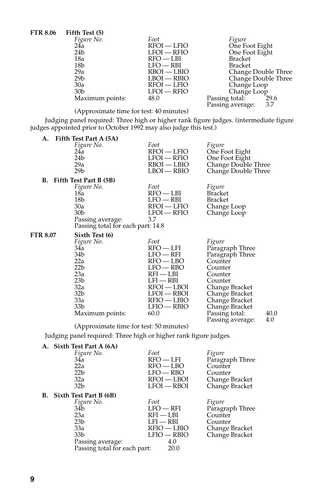| <b>FTR 8.06</b> | Fifth Test (5)  |               |                         |
|-----------------|-----------------|---------------|-------------------------|
|                 | Figure No.      | Foot          | Figure                  |
|                 | 24a             | $RFOI - LFIO$ | One Foot Eight          |
|                 | 24 <sub>b</sub> | $LFOI - RFIO$ | One Foot Eight          |
|                 | 18a             | $RFO - LBI$   | Bracket                 |
|                 | 18b             | $LFO - RBI$   | <b>Bracket</b>          |
|                 | 29a             | $RBOI - LBIO$ | Change Double Three     |
|                 | 29 <sub>b</sub> | $LBOI - RBIO$ | Change Double Three     |
|                 | 30a             | $RFOI - LFIO$ | Change Loop             |
|                 | 30 <sub>b</sub> | $LFOI - RFIO$ | Change Loop             |
|                 | Maximum points: | 48.0          | 29.6<br>Passing total:  |
|                 |                 |               | Passing average:<br>3.7 |

Passing average:<br>(Approximate time for test: 40 minutes)

Judging panel required: Three high or higher rank figure judges. (intermediate figure judges appointed prior to October 1992 may also judge this test.)

| А.       | Fifth Test Part A (5A)                  |                              |                         |
|----------|-----------------------------------------|------------------------------|-------------------------|
|          | Figure No.                              | Foot                         | Figure                  |
|          | 24a                                     | RFOI — LFIO                  | One Foot Eight          |
|          | 24b                                     | $LFOI - RFIO$                | One Foot Eight          |
|          | 29a                                     | RBOI — LBIO                  | Change Double Three     |
|          | 29 <sub>b</sub>                         | $LBOI - RBIO$                | Change Double Three     |
|          | B. Fifth Test Part B (5B)               |                              |                         |
|          | Figure No.                              | Foot                         | Figure                  |
|          | 18a                                     | $RFO - LBI$                  | <b>Bracket</b>          |
|          | 18 <sub>b</sub>                         | $LFO - RBI$                  | <b>Bracket</b>          |
|          | 30a                                     | RFOI — LFIO                  | Change Loop             |
|          | 30 <sub>b</sub>                         | $LFOI - RFIO$                | Change Loop             |
|          | Passing average:                        | 3.7                          |                         |
|          | Passing total for each part: 14.8       |                              |                         |
| FTR 8.07 | Sixth Test (6)                          |                              |                         |
|          | Figure No.                              | Foot                         | Figure                  |
|          | 34a                                     | $RFO$ - $LFI$                | Paragraph Three         |
|          | 34b                                     | $LFO - RFI$                  | Paragraph Three         |
|          | 22a                                     | RFO — LBO                    | Counter                 |
|          | 22 <sub>b</sub>                         | $LFO - RBO$                  | Counter                 |
|          | 23a                                     | RFI — LBI                    | Counter                 |
|          | 23 <sub>b</sub>                         | $LFI - RBI$                  | Counter                 |
|          | 32a                                     | RFOI — LBOI                  | Change Bracket          |
|          | 32b<br>33a                              | LFOI — RBOI<br>$RFIO - LBIO$ | Change Bracket          |
|          | 33b                                     | LFIO — RBIO                  | Change Bracket          |
|          |                                         |                              | Change Bracket          |
|          |                                         |                              |                         |
|          | Maximum points:                         | 60.0                         | 40.0<br>Passing total:  |
|          | (Approximate time for test: 50 minutes) |                              | 4.0<br>Passing average: |

Judging panel required: Three high or higher rank figure judges.

# **A. Sixth Test Part A (6A)**

| 34a<br>22a<br>22 <sub>b</sub> | Foot<br>$RFO - LFI$<br>$RFO - LBO$<br>$LFO - RBO$ | Figure<br>Paragraph Three<br>Counter<br>Counter |
|-------------------------------|---------------------------------------------------|-------------------------------------------------|
| 32 <sub>b</sub>               | $LFOI - RBOI$                                     | Change Bracket<br>Change Bracket                |
| B. Sixth Test Part B (6B)     |                                                   |                                                 |
| Figure No.                    | Foot                                              | Figure                                          |
| 34b                           | $LFO - RFI$                                       | Paragraph Three                                 |
| 23a                           | $RFI - LBI$                                       | Counter                                         |
| 23 <sub>b</sub>               | $LFI - RBI$                                       | Counter                                         |
| 33a                           | $RFIO - LBIO$                                     | Change Bracket                                  |
| 33 <sub>b</sub>               | LFIO — RBIO                                       | Change Bracket                                  |
|                               | 4.0                                               |                                                 |
|                               | 20.0                                              |                                                 |
|                               | Figure No.<br>32a<br>Passing average:             | $RFOI - LBOI$<br>Passing total for each part:   |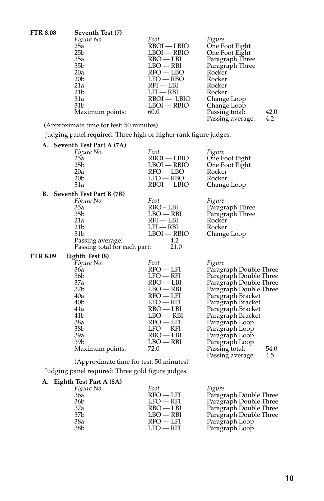| <b>FTR 8.08</b> | Seventh Test (7) |               |                  |      |
|-----------------|------------------|---------------|------------------|------|
|                 | Figure No.       | Foot          | Figure           |      |
|                 | 25a              | $RBOI - LBIO$ | One Foot Eight   |      |
|                 | 25 <sub>b</sub>  | LBOI — RBIO   | One Foot Eight   |      |
|                 | 35a              | $RBO - LBI$   | Paragraph Three  |      |
|                 | 35b              | $LBO$ — RBI   | Paragraph Three  |      |
|                 | 20a              | $RFO - LBO$   | Rocker           |      |
|                 | 20 <sub>b</sub>  | $LFO - RBO$   | Rocker           |      |
|                 | 21a              | $RFI - LBI$   | Rocker           |      |
|                 | 21 <sub>b</sub>  | $LFI - RBI$   | Rocker           |      |
|                 | 31a              | $RBOI - LBIO$ | Change Loop      |      |
|                 | 31 <sub>b</sub>  | $LBOI - RBIO$ | Change Loop      |      |
|                 | Maximum points:  | 60.0          | Passing total:   | 42.0 |
|                 |                  |               | Passing average: | 4.2  |

(Approximate time for test: 50 minutes)

Judging panel required: Three high or higher rank figure judges.

|          | A. Seventh Test Part A (7A)                       |               |                               |  |
|----------|---------------------------------------------------|---------------|-------------------------------|--|
|          | Figure No.                                        | Foot          | Figure                        |  |
|          | 25a                                               | $RBOI - LBIO$ | One Foot Eight                |  |
|          | 25 <sub>b</sub>                                   | $LBOI - RBIO$ | One Foot Eight                |  |
|          | 20a                                               | $RFO - LBO$   | Rocker                        |  |
|          | 20 <sub>b</sub>                                   | $LFO - RBO$   | Rocker                        |  |
|          | 31a                                               | $RBOI - LBIO$ | Change Loop                   |  |
|          | B. Seventh Test Part B (7B)                       |               |                               |  |
|          | Figure No.                                        | Foot          | Figure                        |  |
|          | 35a                                               | RBO-LBI       | Paragraph Three               |  |
|          | 35b                                               | $LBO$ — RBI   | Paragraph Three               |  |
|          | 21a                                               | $RFI - LBI$   | Rocker                        |  |
|          | 21 <sub>b</sub>                                   | $LFI - RBI$   | Rocker                        |  |
|          | 31 <sub>b</sub>                                   | $LBOI - RBIO$ | Change Loop                   |  |
|          | Passing average:                                  | 4.2           |                               |  |
|          | Passing total for each part:                      | 21.0          |                               |  |
| FTR 8.09 | Eighth Test (8)                                   |               |                               |  |
|          | Figure No.                                        | Foot          | Figure                        |  |
|          | 36a                                               | $RFO - LFI$   | Paragraph Double Three        |  |
|          | 36b                                               | $LFO - RFI$   | Paragraph Double Three        |  |
|          | 37a                                               | RBO — LBI     | Paragraph Double Three        |  |
|          | 37 <sub>b</sub>                                   | $LBO - RBI$   | Paragraph Double Three        |  |
|          | 40a                                               | $RFO - LFI$   | Paragraph Bracket             |  |
|          | 40 <sub>b</sub>                                   | $LFO - RFI$   | Paragraph Bracket             |  |
|          | 41a                                               | $RBO - LBI$   | Paragraph Bracket             |  |
|          | 41b                                               | $LBO - RBI$   | Paragraph Bracket             |  |
|          | 38a                                               | $RFO - LFI$   | Paragraph Loop                |  |
|          | 38 <sub>b</sub>                                   | $LFO$ — RFI   | Paragraph Loop                |  |
|          | 39a                                               | $RBO - LBI$   | Paragraph Loop                |  |
|          | 39b                                               | $LBO - RBI$   | Paragraph Loop                |  |
|          | Maximum points:                                   | 72.0          | Passing total:<br>54.0<br>4.5 |  |
|          | (Approximate time for test: 50 minutes)           |               | Passing average:              |  |
|          |                                                   |               |                               |  |
|          | Judging panel required: Three gold figure judges. |               |                               |  |

# **A. Eighth Test Part A (8A)**

| Figure No.      | Foot        | Figure                 |
|-----------------|-------------|------------------------|
| 36a             | $RFO - LFI$ | Paragraph Double Three |
| 36b             | $LFO - RFI$ | Paragraph Double Three |
| 37a             | $RBO - LBI$ | Paragraph Double Three |
| 37 <sub>b</sub> | $LBO - RBI$ | Paragraph Double Three |
| 38a             | $RFO - LFI$ | Paragraph Loop         |
| 38 <sub>b</sub> | $LFO - RFI$ | Paragraph Loop         |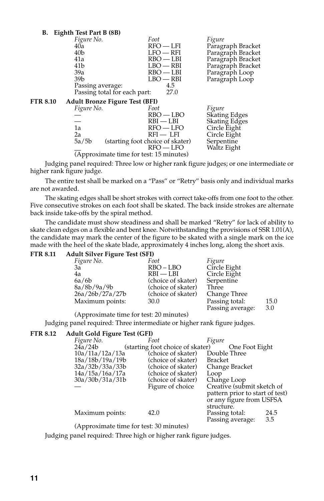| В.       | Eighth Test Part B (8B)                 |                                                 |                           |
|----------|-----------------------------------------|-------------------------------------------------|---------------------------|
|          | Figure No.                              | Foot                                            | Figure                    |
|          | 40ā                                     | $RFO - LFI$                                     | Paragraph Bracket         |
|          | 40 <sub>b</sub>                         | $LFO - RFI$                                     | Paragraph Bracket         |
|          | 41a                                     | $RBO - LBI$                                     | Paragraph Bracket         |
|          | 41b                                     | $LBO - RBI$                                     | Paragraph Bracket         |
|          | 39a                                     | $RBO - LBI$                                     | Paragraph Loop            |
|          | 39 <sub>b</sub>                         | $LBO$ — RBI                                     | Paragraph Loop            |
|          | Passing average:                        | 4.5                                             |                           |
|          | Passing total for each part:            | 27.0                                            |                           |
| FTR 8.10 | <b>Adult Bronze Figure Test (BFI)</b>   |                                                 |                           |
|          | Figure No.                              | Foot                                            | Figure                    |
|          |                                         | $RBO - LBO$                                     | <b>Skating Edges</b>      |
|          |                                         | $RBI - LBI$                                     | Skating Edges             |
|          | 1a                                      | $RFO - LFO$                                     | Circle Eight              |
|          | 2a                                      | $RFI - LFI$                                     | Circle Eight              |
|          | 5a/5b                                   | (starting foot choice of skater)<br>$RFO - LFO$ | Serpentine<br>Waltz Eight |
|          | (Approximate time for test: 15 minutes) |                                                 |                           |
|          |                                         |                                                 |                           |

Judging panel required: Three low or higher rank figure judges; or one intermediate or higher rank figure judge.

The entire test shall be marked on a "Pass" or "Retry" basis only and individual marks are not awarded.

The skating edges shall be short strokes with correct take-offs from one foot to the other. Five consecutive strokes on each foot shall be skated. The back inside strokes are alternate back inside take-offs by the spiral method.

The candidate must show steadiness and shall be marked "Retry" for lack of ability to skate clean edges on a flexible and bent knee. Notwithstanding the provisions of SSR 1.01(A), the candidate may mark the center of the figure to be skated with a single mark on the ice made with the heel of the skate blade, approximately 4 inches long, along the short axis.<br> **ETP 8.11** Adult Silver Figure Test (SEI)

| <b>FTR 8.11</b> | <b>Adult Silver Figure Test (SFI)</b> |                    |                                    |             |  |
|-----------------|---------------------------------------|--------------------|------------------------------------|-------------|--|
|                 | Figure No.                            | Foot               | Figure                             |             |  |
|                 | За                                    | $RBO - LBO$        | Circle Eight                       |             |  |
|                 | 4a                                    | $RBI - LBI$        | Circle Eight                       |             |  |
|                 | 6a/6b                                 | (choice of skater) | Serpentine                         |             |  |
|                 | 8a/8b/9a/9b                           | (choice of skater) | Three                              |             |  |
|                 | 26a/26b/27a/27b                       | (choice of skater) | Change Three                       |             |  |
|                 | Maximum points:                       | 30.0               | Passing total:<br>Passing average: | 15.0<br>3.0 |  |

(Approximate time for test: 20 minutes)

Judging panel required: Three intermediate or higher rank figure judges.

#### **FTR 8.12 Adult Gold Figure Test (GFI)**

| Figure No.      | Foot                             | Figure                          |
|-----------------|----------------------------------|---------------------------------|
| 24a/24b         | (starting foot choice of skater) | One Foot Eight                  |
| 10a/11a/12a/13a | (choice of skater)               | Double Three                    |
| 18a/18b/19a/19b | (choice of skater)               | <b>Bracket</b>                  |
| 32a/32b/33a/33b | (choice of skater)               | Change Bracket                  |
| 14a/15a/16a/17a | (choice of skater)               | Loop                            |
| 30a/30b/31a/31b | (choice of skater)               | Change Loop                     |
|                 | Figure of choice                 | Creative (submit sketch of      |
|                 |                                  | pattern prior to start of test) |
|                 |                                  | or any figure from USFSA        |
|                 |                                  | structure.                      |
| Maximum points: | 42.0                             | 24.5<br>Passing total:          |
|                 |                                  | 3.5<br>Passing average:         |
|                 |                                  |                                 |

(Approximate time for test: 30 minutes)

Judging panel required: Three high or higher rank figure judges.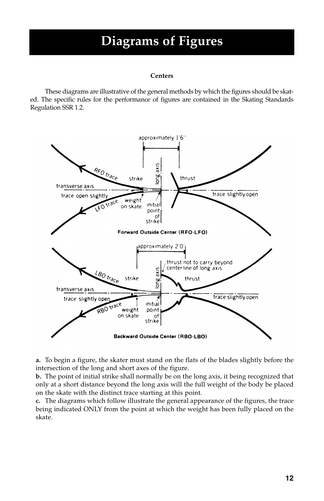# **Diagrams of Figures**

#### **Centers**

These diagrams are illustrative of the general methods by which the figures should be skated. The specific rules for the performance of figures are contained in the Skating Standards Regulation SSR 1.2.



**a.** To begin a figure, the skater must stand on the flats of the blades slightly before the intersection of the long and short axes of the figure.

**b.** The point of initial strike shall normally be on the long axis, it being recognized that only at a short distance beyond the long axis will the full weight of the body be placed on the skate with the distinct trace starting at this point.

**c.** The diagrams which follow illustrate the general appearance of the figures, the trace being indicated ONLY from the point at which the weight has been fully placed on the skate.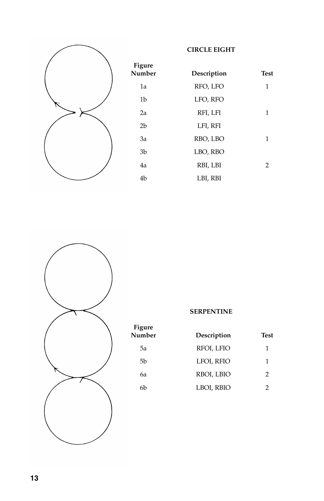

| <b>Figure</b><br>Number | Description | <b>Test</b> |
|-------------------------|-------------|-------------|
| 1a                      | RFO, LFO    | 1           |
| 1b                      | LFO, RFO    |             |
| 2a                      | RFI, LFI    | 1           |
| 2 <sub>b</sub>          | LFI, RFI    |             |
| 3a                      | RBO, LBO    | 1           |
| 3 <sub>b</sub>          | LBO, RBO    |             |
| 4a                      | RBI, LBI    | 2           |
| 4 <sub>b</sub>          | LBI, RBI    |             |

**CIRCLE EIGHT**



**Figure**

| $    -$<br>Number | Description | Test |
|-------------------|-------------|------|
| 5a                | RFOI, LFIO  | 1    |
| 5b                | LFOI, RFIO  | 1    |
| 6а                | RBOI, LBIO  | 2    |
| 6b                | LBOI, RBIO  |      |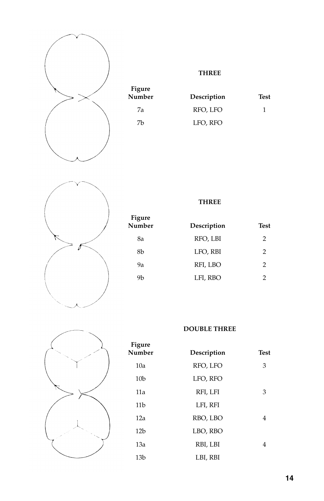

**Figure**

**THREE**

| Number | Description | Test |
|--------|-------------|------|
| 7a     | RFO, LFO    |      |
| 7b     | LFO, RFO    |      |
|        |             |      |



**Figure Number Description Test** 8a RFO, LBI 2 8b LFO, RBI 2 9a RFI, LBO 2 9b LFI, RBO 2

**THREE**



**Figure Number Description** Test 10a RFO, LFO 3 10b LFO, RFO 11a RFI, LFI 3 11b LFI, RFI 12a RBO, LBO 4 12b LBO, RBO 13a RBI, LBI 4 13b LBI, RBI

**DOUBLE THREE**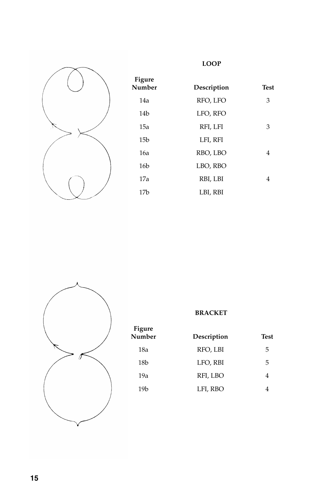

| <b>Figure</b><br>Number | Description | <b>Test</b> |
|-------------------------|-------------|-------------|
| 14a                     | RFO, LFO    | 3           |
| 14 <sub>b</sub>         | LFO, RFO    |             |
| 15a                     | RFI, LFI    | 3           |
| 15 <sub>b</sub>         | LFI, RFI    |             |
| 16a                     | RBO, LBO    | 4           |
| 16 <sub>b</sub>         | LBO, RBO    |             |
| 17a                     | RBI, LBI    | 4           |
| 17b                     | LBI, RBI    |             |

**LOOP**



|                         | <b>BRACKET</b> |             |
|-------------------------|----------------|-------------|
| <b>Figure</b><br>Number | Description    | <b>Test</b> |
| 18a                     | RFO, LBI       | 5           |
| 18 <sub>b</sub>         | LFO, RBI       | 5           |
| 19a                     | RFI, LBO       | 4           |
| 19 <sub>b</sub>         | LFI, RBO       |             |
|                         |                |             |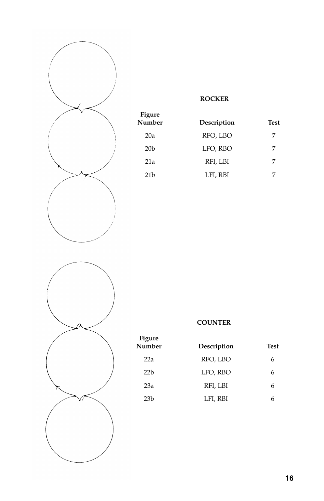

| <b>Figure</b><br>Number | Description | Test |
|-------------------------|-------------|------|
| 20a                     | RFO, LBO    | 7    |
| 20 <sub>b</sub>         | LFO, RBO    | 7    |
| 21a                     | RFI, LBI    | 7    |
| 21 <sub>b</sub>         | LFI, RBI    |      |

**ROCKER**



| Figure<br>Number | Description | Test |
|------------------|-------------|------|
| 22a              | RFO, LBO    | 6    |
| 22h              | LFO, RBO    | 6    |
| 23a              | RFI, LBI    | 6    |
| 23h              | LFI, RBI    | h    |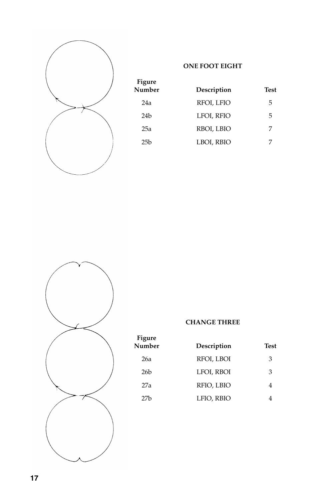

| <b>Figure</b><br>Number | Description | Test |
|-------------------------|-------------|------|
| 24a                     | RFOI, LFIO  | 5    |
| 24b                     | LFOI, RFIO  | 5    |
| 25a                     | RBOI, LBIO  | 7    |
| 25h                     | LBOI, RBIO  |      |

**ONE FOOT EIGHT**



# **CHANGE THREE**

| Figure<br>Number | Description | Test |
|------------------|-------------|------|
| 26a              | RFOI, LBOI  | 3    |
| 26 <sub>b</sub>  | LFOI, RBOI  | 3    |
| 27a              | RFIO, LBIO  |      |
| 27h              | LFIO, RBIO  |      |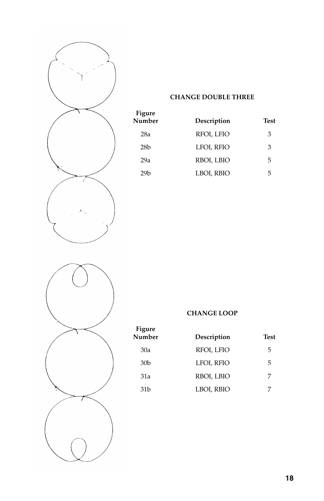

# **CHANGE DOUBLE THREE**

| Figure          |             |      |  |
|-----------------|-------------|------|--|
| Number          | Description | Test |  |
| 28a             | RFOI, LFIO  | 3    |  |
| 28 <sub>b</sub> | LFOI, RFIO  | 3    |  |
| 29a             | RBOI, LBIO  | 5    |  |
| 29h             | LBOI, RBIO  | 5    |  |



# **CHANGE LOOP**

| Figure<br>Number | Description | <b>Test</b> |
|------------------|-------------|-------------|
| 30a              | RFOI, LFIO  | 5           |
| 30 <sub>b</sub>  | LFOI, RFIO  | 5           |
| 31a              | RBOI, LBIO  | 7           |
| 31 b             | LBOI, RBIO  |             |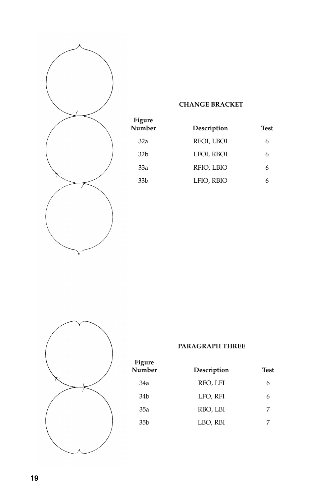

**Figure**

# **CHANGE BRACKET**

| <b>rigure</b><br>Number | Description | <b>Test</b> |
|-------------------------|-------------|-------------|
| 32a                     | RFOI, LBOI  | 6           |
| 32 <sub>b</sub>         | LFOI, RBOI  | 6           |
| 33a                     | RFIO, LBIO  | 6           |
| 33b                     | LFIO, RBIO  |             |



# **PARAGRAPH THREE**

| <b>Figure</b><br>Number | Description | <b>Test</b> |
|-------------------------|-------------|-------------|
| 34a                     | RFO, LFI    | 6           |
| 34b                     | LFO, RFI    | 6           |
| 35a                     | RBO, LBI    | 7           |
| 35 <sub>b</sub>         | LBO, RBI    |             |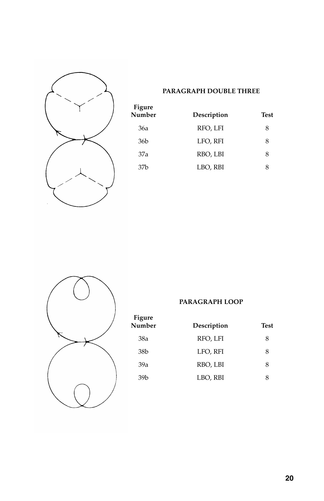

# **PARAGRAPH DOUBLE THREE**

| Figure<br>Number | Description | Test |
|------------------|-------------|------|
| 36a              | RFO, LFI    | 8    |
| 36 <sub>b</sub>  | LFO, RFI    | 8    |
| 37a              | RBO, LBI    | 8    |
| 37h              | LBO, RBI    | 8    |



**Figure**

# **PARAGRAPH LOOP**

| 11 <sub>5</sub> uit<br>Number | Description | Test |
|-------------------------------|-------------|------|
| 38a                           | RFO, LFI    | 8    |
| 38 <sub>b</sub>               | LFO, RFI    | 8    |
| 39a                           | RBO, LBI    | 8    |
| 39 <sub>b</sub>               | LBO, RBI    | 8    |
|                               |             |      |